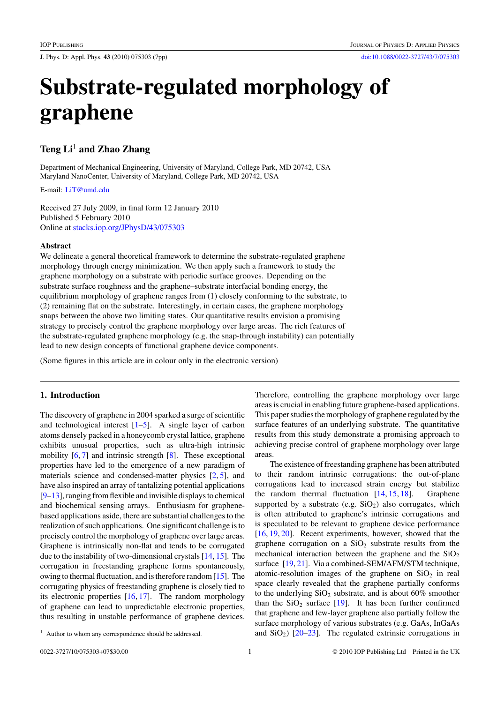J. Phys. D: Appl. Phys. **43** (2010) 075303 (7pp) [doi:10.1088/0022-3727/43/7/075303](http://dx.doi.org/10.1088/0022-3727/43/7/075303)

# **Substrate-regulated morphology of graphene**

# **Teng Li**<sup>1</sup> **and Zhao Zhang**

Department of Mechanical Engineering, University of Maryland, College Park, MD 20742, USA Maryland NanoCenter, University of Maryland, College Park, MD 20742, USA

E-mail: [LiT@umd.edu](mailto: LiT@umd.edu)

Received 27 July 2009, in final form 12 January 2010 Published 5 February 2010 Online at [stacks.iop.org/JPhysD/43/075303](http://stacks.iop.org/JPhysD/43/075303)

## **Abstract**

We delineate a general theoretical framework to determine the substrate-regulated graphene morphology through energy minimization. We then apply such a framework to study the graphene morphology on a substrate with periodic surface grooves. Depending on the substrate surface roughness and the graphene–substrate interfacial bonding energy, the equilibrium morphology of graphene ranges from (1) closely conforming to the substrate, to (2) remaining flat on the substrate. Interestingly, in certain cases, the graphene morphology snaps between the above two limiting states. Our quantitative results envision a promising strategy to precisely control the graphene morphology over large areas. The rich features of the substrate-regulated graphene morphology (e.g. the snap-through instability) can potentially lead to new design concepts of functional graphene device components.

(Some figures in this article are in colour only in the electronic version)

# **1. Introduction**

The discovery of graphene in 2004 sparked a surge of scientific and technological interest  $[1-5]$ . A single layer of carbon atoms densely packed in a honeycomb crystal lattice, graphene exhibits unusual properties, such as ultra-high intrinsic mobility [\[6,](#page-5-0) [7\]](#page-5-0) and intrinsic strength [\[8\]](#page-5-0). These exceptional properties have led to the emergence of a new paradigm of materials science and condensed-matter physics [\[2,](#page-5-0) [5\]](#page-5-0), and have also inspired an array of tantalizing potential applications [\[9–13\]](#page-5-0), ranging from flexible and invisible displays to chemical and biochemical sensing arrays. Enthusiasm for graphenebased applications aside, there are substantial challenges to the realization of such applications. One significant challenge is to precisely control the morphology of graphene over large areas. Graphene is intrinsically non-flat and tends to be corrugated due to the instability of two-dimensional crystals [\[14,](#page-6-0) [15\]](#page-6-0). The corrugation in freestanding graphene forms spontaneously, owing to thermal fluctuation, and is therefore random [\[15\]](#page-6-0). The corrugating physics of freestanding graphene is closely tied to its electronic properties [\[16,](#page-6-0) [17\]](#page-6-0). The random morphology of graphene can lead to unpredictable electronic properties, thus resulting in unstable performance of graphene devices.

Therefore, controlling the graphene morphology over large areas is crucial in enabling future graphene-based applications. This paper studies the morphology of graphene regulated by the surface features of an underlying substrate. The quantitative results from this study demonstrate a promising approach to achieving precise control of graphene morphology over large areas.

The existence of freestanding graphene has been attributed to their random intrinsic corrugations: the out-of-plane corrugations lead to increased strain energy but stabilize the random thermal fluctuation  $[14, 15, 18]$  $[14, 15, 18]$  $[14, 15, 18]$  $[14, 15, 18]$  $[14, 15, 18]$ . Graphene supported by a substrate (e.g.  $SiO<sub>2</sub>$ ) also corrugates, which is often attributed to graphene's intrinsic corrugations and is speculated to be relevant to graphene device performance [\[16,](#page-6-0) [19,](#page-6-0) [20\]](#page-6-0). Recent experiments, however, showed that the graphene corrugation on a  $SiO<sub>2</sub>$  substrate results from the mechanical interaction between the graphene and the  $SiO<sub>2</sub>$ surface [\[19,](#page-6-0) [21\]](#page-6-0). Via a combined-SEM/AFM/STM technique, atomic-resolution images of the graphene on  $SiO<sub>2</sub>$  in real space clearly revealed that the graphene partially conforms to the underlying  $SiO<sub>2</sub>$  substrate, and is about 60% smoother than the  $SiO<sub>2</sub>$  surface [\[19\]](#page-6-0). It has been further confirmed that graphene and few-layer graphene also partially follow the surface morphology of various substrates (e.g. GaAs, InGaAs and  $SiO<sub>2</sub>$ ) [ $20-23$ ]. The regulated extrinsic corrugations in

<sup>&</sup>lt;sup>1</sup> Author to whom any correspondence should be addressed.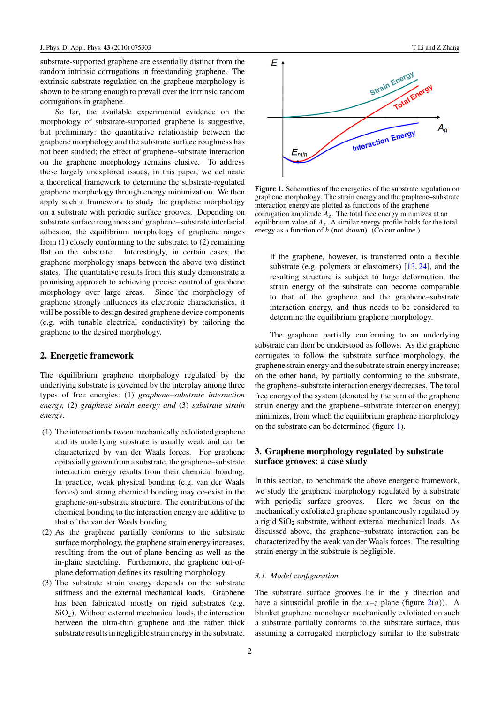<span id="page-1-0"></span>substrate-supported graphene are essentially distinct from the random intrinsic corrugations in freestanding graphene. The extrinsic substrate regulation on the graphene morphology is shown to be strong enough to prevail over the intrinsic random corrugations in graphene.

So far, the available experimental evidence on the morphology of substrate-supported graphene is suggestive, but preliminary: the quantitative relationship between the graphene morphology and the substrate surface roughness has not been studied; the effect of graphene–substrate interaction on the graphene morphology remains elusive. To address these largely unexplored issues, in this paper, we delineate a theoretical framework to determine the substrate-regulated graphene morphology through energy minimization. We then apply such a framework to study the graphene morphology on a substrate with periodic surface grooves. Depending on substrate surface roughness and graphene–substrate interfacial adhesion, the equilibrium morphology of graphene ranges from (1) closely conforming to the substrate, to (2) remaining flat on the substrate. Interestingly, in certain cases, the graphene morphology snaps between the above two distinct states. The quantitative results from this study demonstrate a promising approach to achieving precise control of graphene morphology over large areas. Since the morphology of graphene strongly influences its electronic characteristics, it will be possible to design desired graphene device components (e.g. with tunable electrical conductivity) by tailoring the graphene to the desired morphology.

#### **2. Energetic framework**

The equilibrium graphene morphology regulated by the underlying substrate is governed by the interplay among three types of free energies: (1) *graphene–substrate interaction energy,* (2) *graphene strain energy and* (3) *substrate strain energy*.

- (1) The interaction between mechanically exfoliated graphene and its underlying substrate is usually weak and can be characterized by van der Waals forces. For graphene epitaxially grown from a substrate, the graphene–substrate interaction energy results from their chemical bonding. In practice, weak physical bonding (e.g. van der Waals forces) and strong chemical bonding may co-exist in the graphene-on-substrate structure. The contributions of the chemical bonding to the interaction energy are additive to that of the van der Waals bonding.
- (2) As the graphene partially conforms to the substrate surface morphology, the graphene strain energy increases, resulting from the out-of-plane bending as well as the in-plane stretching. Furthermore, the graphene out-ofplane deformation defines its resulting morphology.
- (3) The substrate strain energy depends on the substrate stiffness and the external mechanical loads. Graphene has been fabricated mostly on rigid substrates (e.g. SiO2*)*. Without external mechanical loads, the interaction between the ultra-thin graphene and the rather thick substrate results in negligible strain energy in the substrate.



**Figure 1.** Schematics of the energetics of the substrate regulation on graphene morphology. The strain energy and the graphene–substrate interaction energy are plotted as functions of the graphene corrugation amplitude *A*g. The total free energy minimizes at an equilibrium value of  $A_{\rm g}$ . A similar energy profile holds for the total energy as a function of *h* (not shown). (Colour online.)

If the graphene, however, is transferred onto a flexible substrate (e.g. polymers or elastomers) [\[13,](#page-5-0) [24\]](#page-6-0), and the resulting structure is subject to large deformation, the strain energy of the substrate can become comparable to that of the graphene and the graphene–substrate interaction energy, and thus needs to be considered to determine the equilibrium graphene morphology.

The graphene partially conforming to an underlying substrate can then be understood as follows. As the graphene corrugates to follow the substrate surface morphology, the graphene strain energy and the substrate strain energy increase; on the other hand, by partially conforming to the substrate, the graphene–substrate interaction energy decreases. The total free energy of the system (denoted by the sum of the graphene strain energy and the graphene–substrate interaction energy) minimizes, from which the equilibrium graphene morphology on the substrate can be determined (figure 1).

## **3. Graphene morphology regulated by substrate surface grooves: a case study**

In this section, to benchmark the above energetic framework, we study the graphene morphology regulated by a substrate with periodic surface grooves. Here we focus on the mechanically exfoliated graphene spontaneously regulated by a rigid  $SiO<sub>2</sub>$  substrate, without external mechanical loads. As discussed above, the graphene–substrate interaction can be characterized by the weak van der Waals forces. The resulting strain energy in the substrate is negligible.

#### *3.1. Model configuration*

The substrate surface grooves lie in the *y* direction and have a sinusoidal profile in the  $x-z$  plane (figure  $2(a)$  $2(a)$ ). A blanket graphene monolayer mechanically exfoliated on such a substrate partially conforms to the substrate surface, thus assuming a corrugated morphology similar to the substrate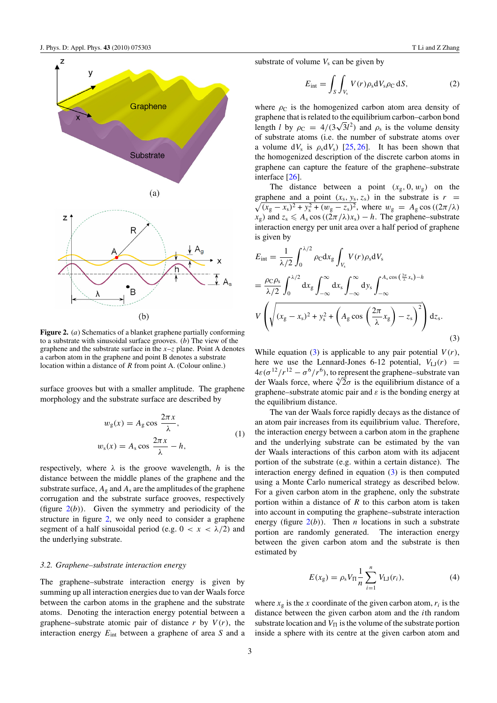

<span id="page-2-0"></span>

**Figure 2.** (*a*) Schematics of a blanket graphene partially conforming to a substrate with sinusoidal surface grooves. (*b*) The view of the graphene and the substrate surface in the  $x-z$  plane. Point A denotes a carbon atom in the graphene and point B denotes a substrate location within a distance of *R* from point A. (Colour online.)

surface grooves but with a smaller amplitude. The graphene morphology and the substrate surface are described by

$$
w_{g}(x) = A_{g} \cos \frac{2\pi x}{\lambda},
$$
  
\n
$$
w_{s}(x) = A_{s} \cos \frac{2\pi x}{\lambda} - h,
$$
\n(1)

respectively, where  $\lambda$  is the groove wavelength, *h* is the distance between the middle planes of the graphene and the substrate surface,  $A_g$  and  $A_s$  are the amplitudes of the graphene corrugation and the substrate surface grooves, respectively (figure  $2(b)$ ). Given the symmetry and periodicity of the structure in figure 2, we only need to consider a graphene segment of a half sinusoidal period (e.g.  $0 < x < \lambda/2$ ) and the underlying substrate.

#### *3.2. Graphene–substrate interaction energy*

The graphene–substrate interaction energy is given by summing up all interaction energies due to van der Waals force between the carbon atoms in the graphene and the substrate atoms. Denoting the interaction energy potential between a graphene–substrate atomic pair of distance  $r$  by  $V(r)$ , the interaction energy *E*int between a graphene of area *S* and a

$$
E_{\rm int} = \int_{S} \int_{V_{\rm s}} V(r) \rho_{\rm s} dV_{\rm s} \rho_{\rm C} dS, \qquad (2)
$$

where  $\rho_c$  is the homogenized carbon atom area density of graphene that is related to the equilibrium carbon–carbon bond length *l* by  $\rho_c = 4/(3\sqrt{3}l^2)$  and  $\rho_s$  is the volume density of substrate atoms (i.e. the number of substrate atoms over a volume d $V_s$  is  $\rho_s dV_s$ ) [\[25,](#page-6-0) [26\]](#page-6-0). It has been shown that the homogenized description of the discrete carbon atoms in graphene can capture the feature of the graphene–substrate interface [\[26\]](#page-6-0).

The distance between a point  $(x_g, 0, w_g)$  on the graphene and a point graphene and a point  $(x_s, y_s, z_s)$  in the substrate is  $r = \sqrt{(x_s - x_s)^2 + y_s^2 + (w_g - z_s)^2}$ , where  $w_g = A_g \cos((2\pi/\lambda))$  $(x_g - x_s)^2 + y_s^2 + (w_g - z_s)^2$ , where  $w_g = A_g \cos((2\pi/\lambda))$  $x_g$ *)* and  $z_s \leq A_s \cos((2\pi/\lambda)x_s) - h$ . The graphene–substrate interaction energy per unit area over a half period of graphene is given by

$$
E_{\rm int} = \frac{1}{\lambda/2} \int_0^{\lambda/2} \rho_{\rm C} dx_{\rm g} \int_{V_s} V(r) \rho_{\rm s} dV_{\rm s}
$$
  
=  $\frac{\rho_{\rm C} \rho_{\rm s}}{\lambda/2} \int_0^{\lambda/2} dx_{\rm g} \int_{-\infty}^{\infty} dx_{\rm s} \int_{-\infty}^{\infty} dy_{\rm s} \int_{-\infty}^{A_s \cos\left(\frac{2\pi}{\lambda}x_{\rm s}\right) - h}$   

$$
V \left( \sqrt{(x_{\rm g} - x_{\rm s})^2 + y_{\rm s}^2 + \left(A_{\rm g} \cos\left(\frac{2\pi}{\lambda}x_{\rm g}\right) - z_{\rm s}\right)^2} \right) dz_{\rm s}.
$$
 (3)

While equation  $(3)$  is applicable to any pair potential  $V(r)$ , here we use the Lennard-Jones 6-12 potential,  $V_{\text{LJ}}(r)$  =  $4\varepsilon(\sigma^{12}/r^{12} - \sigma^6/r^6)$ , to represent the graphene–substrate van der Waals force, where  $\sqrt[6]{2\sigma}$  is the equilibrium distance of a graphene–substrate atomic pair and *ε* is the bonding energy at the equilibrium distance.

The van der Waals force rapidly decays as the distance of an atom pair increases from its equilibrium value. Therefore, the interaction energy between a carbon atom in the graphene and the underlying substrate can be estimated by the van der Waals interactions of this carbon atom with its adjacent portion of the substrate (e.g. within a certain distance). The interaction energy defined in equation (3) is then computed using a Monte Carlo numerical strategy as described below. For a given carbon atom in the graphene, only the substrate portion within a distance of *R* to this carbon atom is taken into account in computing the graphene–substrate interaction energy (figure  $2(b)$ ). Then *n* locations in such a substrate portion are randomly generated. The interaction energy between the given carbon atom and the substrate is then estimated by

$$
E(x_g) = \rho_s V_{\Pi} \frac{1}{n} \sum_{i=1}^{n} V_{\text{LJ}}(r_i),
$$
 (4)

where  $x_g$  is the *x* coordinate of the given carbon atom,  $r_i$  is the distance between the given carbon atom and the *i*th random substrate location and  $V_{\Pi}$  is the volume of the substrate portion inside a sphere with its centre at the given carbon atom and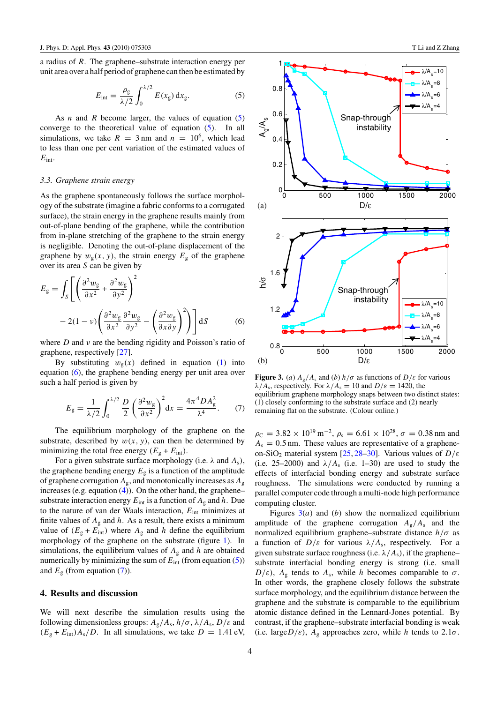<span id="page-3-0"></span>a radius of *R*. The graphene–substrate interaction energy per unit area over a half period of graphene can then be estimated by

$$
E_{\text{int}} = \frac{\rho_{\text{g}}}{\lambda/2} \int_0^{\lambda/2} E(x_{\text{g}}) dx_{\text{g}}.
$$
 (5)

As *n* and *R* become larger, the values of equation (5) converge to the theoretical value of equation (5). In all simulations, we take  $R = 3$  nm and  $n = 10^6$ , which lead to less than one per cent variation of the estimated values of *E*int.

#### *3.3. Graphene strain energy*

As the graphene spontaneously follows the surface morphology of the substrate (imagine a fabric conforms to a corrugated surface), the strain energy in the graphene results mainly from out-of-plane bending of the graphene, while the contribution from in-plane stretching of the graphene to the strain energy is negligible. Denoting the out-of-plane displacement of the graphene by  $w_g(x, y)$ , the strain energy  $E_g$  of the graphene over its area *S* can be given by

$$
E_{g} = \int_{S} \left[ \left( \frac{\partial^{2} w_{g}}{\partial x^{2}} + \frac{\partial^{2} w_{g}}{\partial y^{2}} \right)^{2} - 2(1 - \nu) \left( \frac{\partial^{2} w_{g}}{\partial x^{2}} \frac{\partial^{2} w_{g}}{\partial y^{2}} - \left( \frac{\partial^{2} w_{g}}{\partial x \partial y} \right)^{2} \right) \right] dS
$$
 (6)

where *D* and *ν* are the bending rigidity and Poisson's ratio of graphene, respectively [\[27\]](#page-6-0).

By substituting  $w_g(x)$  defined in equation [\(1\)](#page-2-0) into equation (6), the graphene bending energy per unit area over such a half period is given by

$$
E_{\rm g} = \frac{1}{\lambda/2} \int_0^{\lambda/2} \frac{D}{2} \left(\frac{\partial^2 w_{\rm g}}{\partial x^2}\right)^2 dx = \frac{4\pi^4 D A_{\rm g}^2}{\lambda^4}.\tag{7}
$$

The equilibrium morphology of the graphene on the substrate, described by  $w(x, y)$ , can then be determined by minimizing the total free energy  $(E_g + E_{int})$ .

For a given substrate surface morphology (i.e.  $\lambda$  and  $A_s$ ), the graphene bending energy  $E<sub>g</sub>$  is a function of the amplitude of graphene corrugation *A*g, and monotonically increases as *A*<sup>g</sup> increases (e.g. equation [\(4\)](#page-2-0)). On the other hand, the graphene– substrate interaction energy  $E_{int}$  is a function of  $A_g$  and  $h$ . Due to the nature of van der Waals interaction, *E*int minimizes at finite values of  $A_g$  and  $h$ . As a result, there exists a minimum value of  $(E_{\rm g} + E_{\rm int})$  where  $A_{\rm g}$  and *h* define the equilibrium morphology of the graphene on the substrate (figure [1\)](#page-1-0). In simulations, the equilibrium values of  $A<sub>g</sub>$  and  $h$  are obtained numerically by minimizing the sum of  $E_{int}$  (from equation (5)) and  $E<sub>g</sub>$  (from equation (7)).

### **4. Results and discussion**

We will next describe the simulation results using the following dimensionless groups:  $A_g/A_s$ ,  $h/\sigma$ ,  $\lambda/A_s$ ,  $D/\varepsilon$  and  $(E<sub>g</sub> + E<sub>int</sub>)A<sub>s</sub>/D$ . In all simulations, we take  $D = 1.41$  eV,



**Figure 3.** (*a*)  $A_g/A_s$  and (*b*)  $h/\sigma$  as functions of  $D/\varepsilon$  for various *λ*/A<sub>s</sub>, respectively. For  $λ/A_s = 10$  and  $D/\varepsilon = 1420$ , the equilibrium graphene morphology snaps between two distinct states: (1) closely conforming to the substrate surface and (2) nearly remaining flat on the substrate. (Colour online.)

 $\rho_c = 3.82 \times 10^{19} \,\mathrm{m}^{-2}$ ,  $\rho_s = 6.61 \times 10^{28}$ ,  $\sigma = 0.38 \,\mathrm{nm}$  and  $A_s = 0.5$  nm. These values are representative of a grapheneon-SiO2 material system [\[25,](#page-6-0) [28–30\]](#page-6-0). Various values of *D/ε* (i.e. 25–2000) and  $\lambda/A_s$  (i.e. 1–30) are used to study the effects of interfacial bonding energy and substrate surface roughness. The simulations were conducted by running a parallel computer code through a multi-node high performance computing cluster.

Figures  $3(a)$  and (*b*) show the normalized equilibrium amplitude of the graphene corrugation  $A_g/A_s$  and the normalized equilibrium graphene–substrate distance *h/σ* as a function of  $D/\varepsilon$  for various  $\lambda/A_s$ , respectively. For a given substrate surface roughness (i.e.  $\lambda/A_s$ ), if the graphene– substrate interfacial bonding energy is strong (i.e. small  $D/\varepsilon$ ),  $A_g$  tends to  $A_s$ , while *h* becomes comparable to  $\sigma$ . In other words, the graphene closely follows the substrate surface morphology, and the equilibrium distance between the graphene and the substrate is comparable to the equilibrium atomic distance defined in the Lennard-Jones potential. By contrast, if the graphene–substrate interfacial bonding is weak (i.e. large $D/\varepsilon$ ),  $A_g$  approaches zero, while *h* tends to 2.1 $\sigma$ .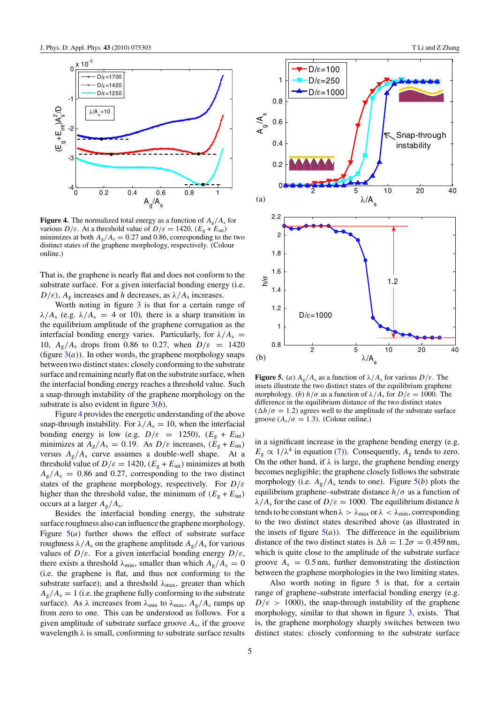<span id="page-4-0"></span>

**Figure 4.** The normalized total energy as a function of  $A_g/A_s$  for various  $D/\varepsilon$ . At a threshold value of  $D/\varepsilon = 1420$ ,  $(E_{\rm g} + E_{\rm int})$ minimizes at both  $A_g/A_s = 0.27$  and 0.86, corresponding to the two distinct states of the graphene morphology, respectively. (Colour online.)

That is, the graphene is nearly flat and does not conform to the substrate surface. For a given interfacial bonding energy (i.e.  $D/\varepsilon$ ,  $A_g$  increases and *h* decreases, as  $\lambda/A_s$  increases.

Worth noting in figure [3](#page-3-0) is that for a certain range of  $\lambda/A_s$  (e.g.  $\lambda/A_s = 4$  or 10), there is a sharp transition in the equilibrium amplitude of the graphene corrugation as the interfacial bonding energy varies. Particularly, for  $\lambda/A_s$  = 10,  $A_{\rm g}/A_{\rm s}$  drops from 0.86 to 0.27, when  $D/\varepsilon = 1420$ (figure  $3(a)$  $3(a)$ ). In other words, the graphene morphology snaps between two distinct states: closely conforming to the substrate surface and remaining nearly flat on the substrate surface, when the interfacial bonding energy reaches a threshold value. Such a snap-through instability of the graphene morphology on the substrate is also evident in figure [3\(](#page-3-0)*b*).

Figure 4 provides the energetic understanding of the above snap-through instability. For  $\lambda/A_s = 10$ , when the interfacial bonding energy is low (e.g.  $D/\varepsilon = 1250$ ),  $(E_g + E_{int})$ minimizes at  $A_g/A_s = 0.19$ . As  $D/\varepsilon$  increases,  $(E_g + E_{int})$ versus  $A_g/A_s$  curve assumes a double-well shape. At a threshold value of  $D/\varepsilon = 1420$ ,  $(E<sub>g</sub> + E<sub>int</sub>)$  minimizes at both  $A_{\rm g}/A_{\rm s} = 0.86$  and 0.27, corresponding to the two distinct states of the graphene morphology, respectively. For *D/ε* higher than the threshold value, the minimum of  $(E_g + E_{int})$ occurs at a larger *A*g*/A*s.

Besides the interfacial bonding energy, the substrate surface roughness also can influence the graphene morphology. Figure  $5(a)$  further shows the effect of substrate surface roughness  $λ/A_s$  on the graphene amplitude  $A_g/A_s$  for various values of  $D/\varepsilon$ . For a given interfacial bonding energy  $D/\varepsilon$ , there exists a threshold  $\lambda_{\min}$ , smaller than which  $A_g/A_s = 0$ (i.e. the graphene is flat, and thus not conforming to the substrate surface); and a threshold  $\lambda_{\text{max}}$ , greater than which  $A_g/A_s = 1$  (i.e. the graphene fully conforming to the substrate surface). As  $\lambda$  increases from  $\lambda_{\min}$  to  $\lambda_{\max}$ ,  $A_g/A_s$  ramps up from zero to one. This can be understood as follows. For a given amplitude of substrate surface groove *A*s, if the groove wavelength *λ* is small, conforming to substrate surface results



**Figure 5.** (*a*)  $A_g/A_s$  as a function of  $\lambda/A_s$  for various  $D/\varepsilon$ . The insets illustrate the two distinct states of the equilibrium graphene morphology. (*b*)  $h/\sigma$  as a function of  $\lambda/A_s$  for  $D/\varepsilon = 1000$ . The difference in the equilibrium distance of the two distinct states  $(\Delta h/\sigma = 1.2)$  agrees well to the amplitude of the substrate surface groove  $(A_s/\sigma = 1.3)$ . (Colour online.)

in a significant increase in the graphene bending energy (e.g.  $E_{\rm g} \propto 1/\lambda^4$  in equation [\(7\)](#page-3-0)). Consequently,  $A_{\rm g}$  tends to zero. On the other hand, if  $\lambda$  is large, the graphene bending energy becomes negligible; the graphene closely follows the substrate morphology (i.e.  $A_g/A_s$  tends to one). Figure  $5(b)$  plots the equilibrium graphene–substrate distance  $h/\sigma$  as a function of *λ*/ $A_s$  for the case of  $D/\varepsilon = 1000$ . The equilibrium distance *h* tends to be constant when  $\lambda > \lambda_{\text{max}}$  or  $\lambda < \lambda_{\text{min}}$ , corresponding to the two distinct states described above (as illustrated in the insets of figure  $5(a)$ ). The difference in the equilibrium distance of the two distinct states is  $\Delta h = 1.2\sigma = 0.459$  nm, which is quite close to the amplitude of the substrate surface groove  $A_s = 0.5$  nm, further demonstrating the distinction between the graphene morphologies in the two limiting states.

Also worth noting in figure  $5$  is that, for a certain range of graphene–substrate interfacial bonding energy (e.g.  $D/\varepsilon > 1000$ , the snap-through instability of the graphene morphology, similar to that shown in figure [3,](#page-3-0) exists. That is, the graphene morphology sharply switches between two distinct states: closely conforming to the substrate surface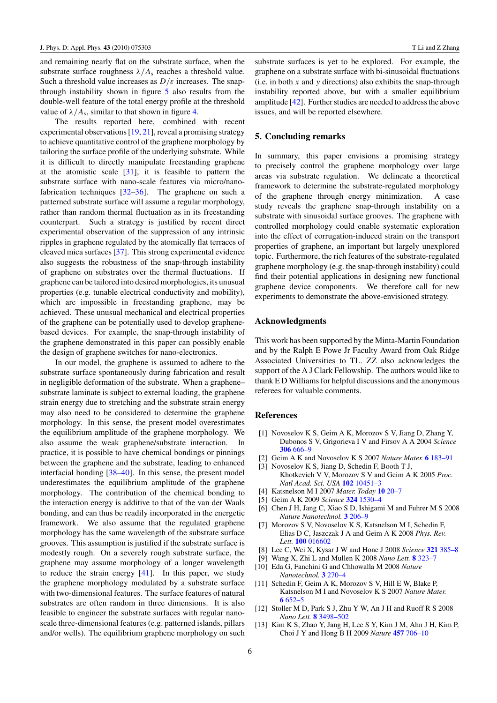<span id="page-5-0"></span>and remaining nearly flat on the substrate surface, when the substrate surface roughness  $\lambda/A_s$  reaches a threshold value. Such a threshold value increases as  $D/\varepsilon$  increases. The snapthrough instability shown in figure [5](#page-4-0) also results from the double-well feature of the total energy profile at the threshold value of  $\lambda/A_s$ , similar to that shown in figure [4.](#page-4-0)

The results reported here, combined with recent experimental observations  $[19, 21]$  $[19, 21]$  $[19, 21]$ , reveal a promising strategy to achieve quantitative control of the graphene morphology by tailoring the surface profile of the underlying substrate. While it is difficult to directly manipulate freestanding graphene at the atomistic scale [\[31\]](#page-6-0), it is feasible to pattern the substrate surface with nano-scale features via micro/nanofabrication techniques [\[32–36\]](#page-6-0). The graphene on such a patterned substrate surface will assume a regular morphology, rather than random thermal fluctuation as in its freestanding counterpart. Such a strategy is justified by recent direct experimental observation of the suppression of any intrinsic ripples in graphene regulated by the atomically flat terraces of cleaved mica surfaces [\[37\]](#page-6-0). This strong experimental evidence also suggests the robustness of the snap-through instability of graphene on substrates over the thermal fluctuations. If graphene can be tailored into desired morphologies, its unusual properties (e.g. tunable electrical conductivity and mobility), which are impossible in freestanding graphene, may be achieved. These unusual mechanical and electrical properties of the graphene can be potentially used to develop graphenebased devices. For example, the snap-through instability of the graphene demonstrated in this paper can possibly enable the design of graphene switches for nano-electronics.

In our model, the graphene is assumed to adhere to the substrate surface spontaneously during fabrication and result in negligible deformation of the substrate. When a graphene– substrate laminate is subject to external loading, the graphene strain energy due to stretching and the substrate strain energy may also need to be considered to determine the graphene morphology. In this sense, the present model overestimates the equilibrium amplitude of the graphene morphology. We also assume the weak graphene/substrate interaction. In practice, it is possible to have chemical bondings or pinnings between the graphene and the substrate, leading to enhanced interfacial bonding [\[38–40\]](#page-6-0). In this sense, the present model underestimates the equilibrium amplitude of the graphene morphology. The contribution of the chemical bonding to the interaction energy is additive to that of the van der Waals bonding, and can thus be readily incorporated in the energetic framework. We also assume that the regulated graphene morphology has the same wavelength of the substrate surface grooves. This assumption is justified if the substrate surface is modestly rough. On a severely rough substrate surface, the graphene may assume morphology of a longer wavelength to reduce the strain energy [\[41\]](#page-6-0). In this paper, we study the graphene morphology modulated by a substrate surface with two-dimensional features. The surface features of natural substrates are often random in three dimensions. It is also feasible to engineer the substrate surfaces with regular nanoscale three-dimensional features (e.g. patterned islands, pillars and/or wells). The equilibrium graphene morphology on such substrate surfaces is yet to be explored. For example, the graphene on a substrate surface with bi-sinusoidal fluctuations (i.e. in both *x* and *y* directions) also exhibits the snap-through instability reported above, but with a smaller equilibrium amplitude [\[42\]](#page-6-0). Further studies are needed to address the above issues, and will be reported elsewhere.

#### **5. Concluding remarks**

In summary, this paper envisions a promising strategy to precisely control the graphene morphology over large areas via substrate regulation. We delineate a theoretical framework to determine the substrate-regulated morphology of the graphene through energy minimization. A case study reveals the graphene snap-through instability on a substrate with sinusoidal surface grooves. The graphene with controlled morphology could enable systematic exploration into the effect of corrugation-induced strain on the transport properties of graphene, an important but largely unexplored topic. Furthermore, the rich features of the substrate-regulated graphene morphology (e.g. the snap-through instability) could find their potential applications in designing new functional graphene device components. We therefore call for new experiments to demonstrate the above-envisioned strategy.

#### **Acknowledgments**

This work has been supported by the Minta-Martin Foundation and by the Ralph E Powe Jr Faculty Award from Oak Ridge Associated Universities to TL. ZZ also acknowledges the support of the A J Clark Fellowship. The authors would like to thank E D Williams for helpful discussions and the anonymous referees for valuable comments.

#### **References**

- [1] Novoselov K S, Geim A K, Morozov S V, Jiang D, Zhang Y, Dubonos S V, Grigorieva I V and Firsov A A 2004 *Science* **306** [666–9](http://dx.doi.org/10.1126/science.1102896)
- [2] Geim A K and Novoselov K S 2007 *Nature Mater.* **6** [183–91](http://dx.doi.org/10.1038/nmat1849)
- [3] Novoselov K S, Jiang D, Schedin F, Booth T J, Khotkevich V V, Morozov S V and Geim A K 2005 *Proc. Natl Acad. Sci. USA* **102** [10451–3](http://dx.doi.org/10.1073/pnas.0502848102)
- [4] Katsnelson M I 2007 *Mater. Today* **10** [20–7](http://dx.doi.org/10.1016/S1369-7021(06)71788-6)
- [5] Geim A K 2009 *Science* **324** [1530–4](http://dx.doi.org/10.1126/science.1158877)
- [6] Chen J H, Jang C, Xiao S D, Ishigami M and Fuhrer M S 2008 *Nature Nanotechnol.* **3** [206–9](http://dx.doi.org/10.1038/nnano.2008.58)
- [7] Morozov S V, Novoselov K S, Katsnelson M I, Schedin F, Elias D C, Jaszczak J A and Geim A K 2008 *Phys. Rev. Lett.* **100** [016602](http://dx.doi.org/10.1103/PhysRevLett.100.016602)
- [8] Lee C, Wei X, Kysar J W and Hone J 2008 *Science* **321** [385–8](http://dx.doi.org/10.1126/science.1157996)
- [9] Wang X, Zhi L and Mullen K 2008 *Nano Lett.* **8** [323–7](http://dx.doi.org/10.1021/nl072838r)
- [10] Eda G, Fanchini G and Chhowalla M 2008 *Nature Nanotechnol.* **3** [270–4](http://dx.doi.org/10.1038/nnano.2008.83)
- [11] Schedin F, Geim A K, Morozov S V, Hill E W, Blake P, Katsnelson M I and Novoselov K S 2007 *Nature Mater.* **6** [652–5](http://dx.doi.org/10.1038/nmat1967)
- [12] Stoller M D, Park S J, Zhu Y W, An J H and Ruoff R S 2008 *Nano Lett.* **8** [3498–502](http://dx.doi.org/10.1021/nl802558y)
- [13] Kim K S, Zhao Y, Jang H, Lee S Y, Kim J M, Ahn J H, Kim P, Choi J Y and Hong B H 2009 *Nature* **457** [706–10](http://dx.doi.org/10.1038/nature07719)